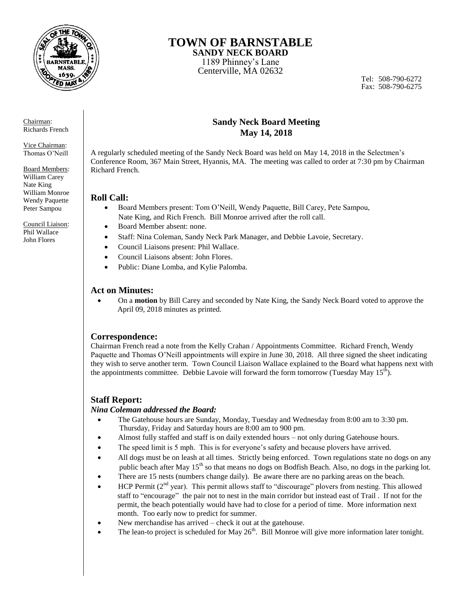

# **TOWN OF BARNSTABLE**

**SANDY NECK BOARD**  1189 Phinney's Lane Centerville, MA 02632

Tel: 508-790-6272 Fax: 508-790-6275

Chairman: Richards French

Vice Chairman: Thomas O'Neill

Board Members: William Carey Nate King William Monroe Wendy Paquette Peter Sampou

Council Liaison: Phil Wallace John Flores

# **Sandy Neck Board Meeting May 14, 2018**

A regularly scheduled meeting of the Sandy Neck Board was held on May 14, 2018 in the Selectmen's Conference Room, 367 Main Street, Hyannis, MA. The meeting was called to order at 7:30 pm by Chairman Richard French.

# **Roll Call:**

- Board Members present: Tom O'Neill, Wendy Paquette, Bill Carey, Pete Sampou, Nate King, and Rich French. Bill Monroe arrived after the roll call.
- Board Member absent: none. Staff: Nina Coleman, Sandy Neck Park Manager, and Debbie Lavoie, Secretary.
- Council Liaisons present: Phil Wallace.
- Council Liaisons absent: John Flores.
- Public: Diane Lomba, and Kylie Palomba.

# **Act on Minutes:**

 On a **motion** by Bill Carey and seconded by Nate King, the Sandy Neck Board voted to approve the April 09, 2018 minutes as printed.

# **Correspondence:**

Chairman French read a note from the Kelly Crahan / Appointments Committee. Richard French, Wendy Paquette and Thomas O'Neill appointments will expire in June 30, 2018. All three signed the sheet indicating they wish to serve another term. Town Council Liaison Wallace explained to the Board what happens next with the appointments committee. Debbie Lavoie will forward the form tomorrow (Tuesday May  $15<sup>th</sup>$ ).

# **Staff Report:**

## *Nina Coleman addressed the Board:*

- The Gatehouse hours are Sunday, Monday, Tuesday and Wednesday from 8:00 am to 3:30 pm. Thursday, Friday and Saturday hours are 8:00 am to 900 pm.
- Almost fully staffed and staff is on daily extended hours not only during Gatehouse hours.
- The speed limit is 5 mph. This is for everyone's safety and because plovers have arrived.
- All dogs must be on leash at all times. Strictly being enforced. Town regulations state no dogs on any public beach after May  $15<sup>th</sup>$  so that means no dogs on Bodfish Beach. Also, no dogs in the parking lot.
- There are 15 nests (numbers change daily). Be aware there are no parking areas on the beach.
- HCP Permit ( $2<sup>nd</sup>$  year). This permit allows staff to "discourage" plovers from nesting. This allowed staff to "encourage" the pair not to nest in the main corridor but instead east of Trail . If not for the permit, the beach potentially would have had to close for a period of time. More information next month. Too early now to predict for summer.
- New merchandise has arrived check it out at the gatehouse.
- The lean-to project is scheduled for May 26<sup>th</sup>. Bill Monroe will give more information later tonight.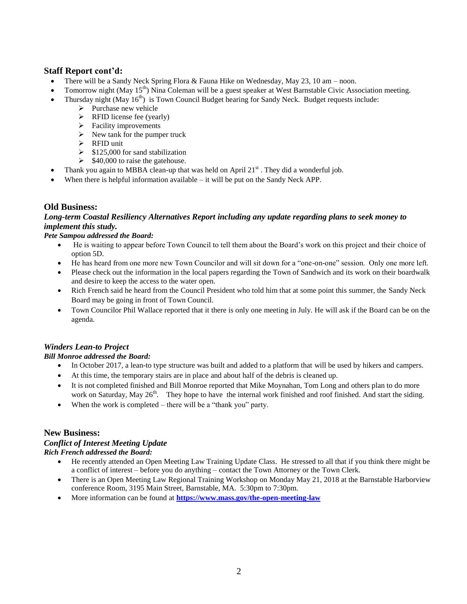## **Staff Report cont'd:**

- There will be a Sandy Neck Spring Flora & Fauna Hike on Wednesday, May 23, 10 am noon.
- Tomorrow night (May 15<sup>th</sup>) Nina Coleman will be a guest speaker at West Barnstable Civic Association meeting.
- Thursday night (May  $16<sup>th</sup>$ ) is Town Council Budget hearing for Sandy Neck. Budget requests include:
	- $\triangleright$  Purchase new vehicle
	- $\triangleright$  RFID license fee (yearly)
	- $\triangleright$  Facility improvements
	- $\triangleright$  New tank for the pumper truck
	- $\triangleright$  RFID unit
	- $\geq$  \$125,000 for sand stabilization
	- $\triangleright$  \$40,000 to raise the gatehouse.
- Thank you again to MBBA clean-up that was held on April  $21<sup>st</sup>$ . They did a wonderful job.
- When there is helpful information available it will be put on the Sandy Neck APP.

### **Old Business:**

#### *Long-term Coastal Resiliency Alternatives Report including any update regarding plans to seek money to implement this study.*

#### *Pete Sampou addressed the Board:*

- He is waiting to appear before Town Council to tell them about the Board's work on this project and their choice of option 5D.
- He has heard from one more new Town Councilor and will sit down for a "one-on-one" session. Only one more left.
- Please check out the information in the local papers regarding the Town of Sandwich and its work on their boardwalk and desire to keep the access to the water open.
- Rich French said he heard from the Council President who told him that at some point this summer, the Sandy Neck Board may be going in front of Town Council.
- Town Councilor Phil Wallace reported that it there is only one meeting in July. He will ask if the Board can be on the agenda.

## *Winders Lean-to Project*

#### *Bill Monroe addressed the Board:*

- In October 2017, a lean-to type structure was built and added to a platform that will be used by hikers and campers.
- At this time, the temporary stairs are in place and about half of the debris is cleaned up.
- It is not completed finished and Bill Monroe reported that Mike Moynahan, Tom Long and others plan to do more work on Saturday, May  $26<sup>th</sup>$ . They hope to have the internal work finished and roof finished. And start the siding.
- When the work is completed there will be a "thank you" party.

#### **New Business:**

#### *Conflict of Interest Meeting Update Rich French addressed the Board:*

- He recently attended an Open Meeting Law Training Update Class. He stressed to all that if you think there might be a conflict of interest – before you do anything – contact the Town Attorney or the Town Clerk.
- There is an Open Meeting Law Regional Training Workshop on Monday May 21, 2018 at the Barnstable Harborview conference Room, 3195 Main Street, Barnstable, MA. 5:30pm to 7:30pm.
- More information can be found at **<https://www.mass.gov/the-open-meeting-law>**